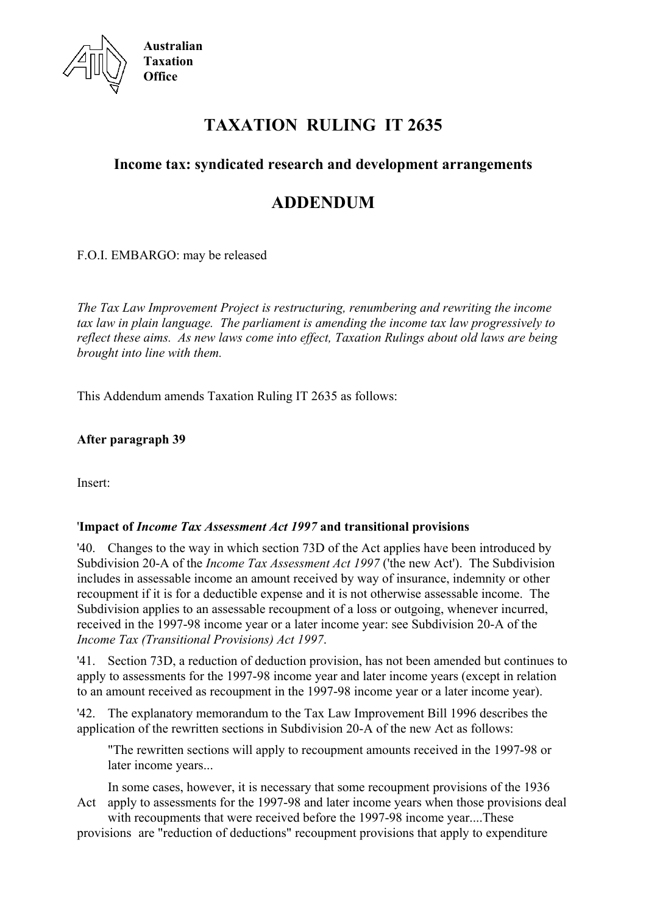

# **TAXATION RULING IT 2635**

## **Income tax: syndicated research and development arrangements**

## **ADDENDUM**

F.O.I. EMBARGO: may be released

*The Tax Law Improvement Project is restructuring, renumbering and rewriting the income tax law in plain language. The parliament is amending the income tax law progressively to reflect these aims. As new laws come into effect, Taxation Rulings about old laws are being brought into line with them.*

This Addendum amends Taxation Ruling IT 2635 as follows:

**After paragraph 39**

Insert:

#### '**Impact of** *Income Tax Assessment Act 1997* **and transitional provisions**

'40. Changes to the way in which section 73D of the Act applies have been introduced by Subdivision 20-A of the *Income Tax Assessment Act 1997* ('the new Act'). The Subdivision includes in assessable income an amount received by way of insurance, indemnity or other recoupment if it is for a deductible expense and it is not otherwise assessable income. The Subdivision applies to an assessable recoupment of a loss or outgoing, whenever incurred, received in the 1997-98 income year or a later income year: see Subdivision 20-A of the *Income Tax (Transitional Provisions) Act 1997*.

'41. Section 73D, a reduction of deduction provision, has not been amended but continues to apply to assessments for the 1997-98 income year and later income years (except in relation to an amount received as recoupment in the 1997-98 income year or a later income year).

'42. The explanatory memorandum to the Tax Law Improvement Bill 1996 describes the application of the rewritten sections in Subdivision 20-A of the new Act as follows:

"The rewritten sections will apply to recoupment amounts received in the 1997-98 or later income years...

In some cases, however, it is necessary that some recoupment provisions of the 1936 Act apply to assessments for the 1997-98 and later income years when those provisions deal

with recoupments that were received before the 1997-98 income year....These provisions are "reduction of deductions" recoupment provisions that apply to expenditure